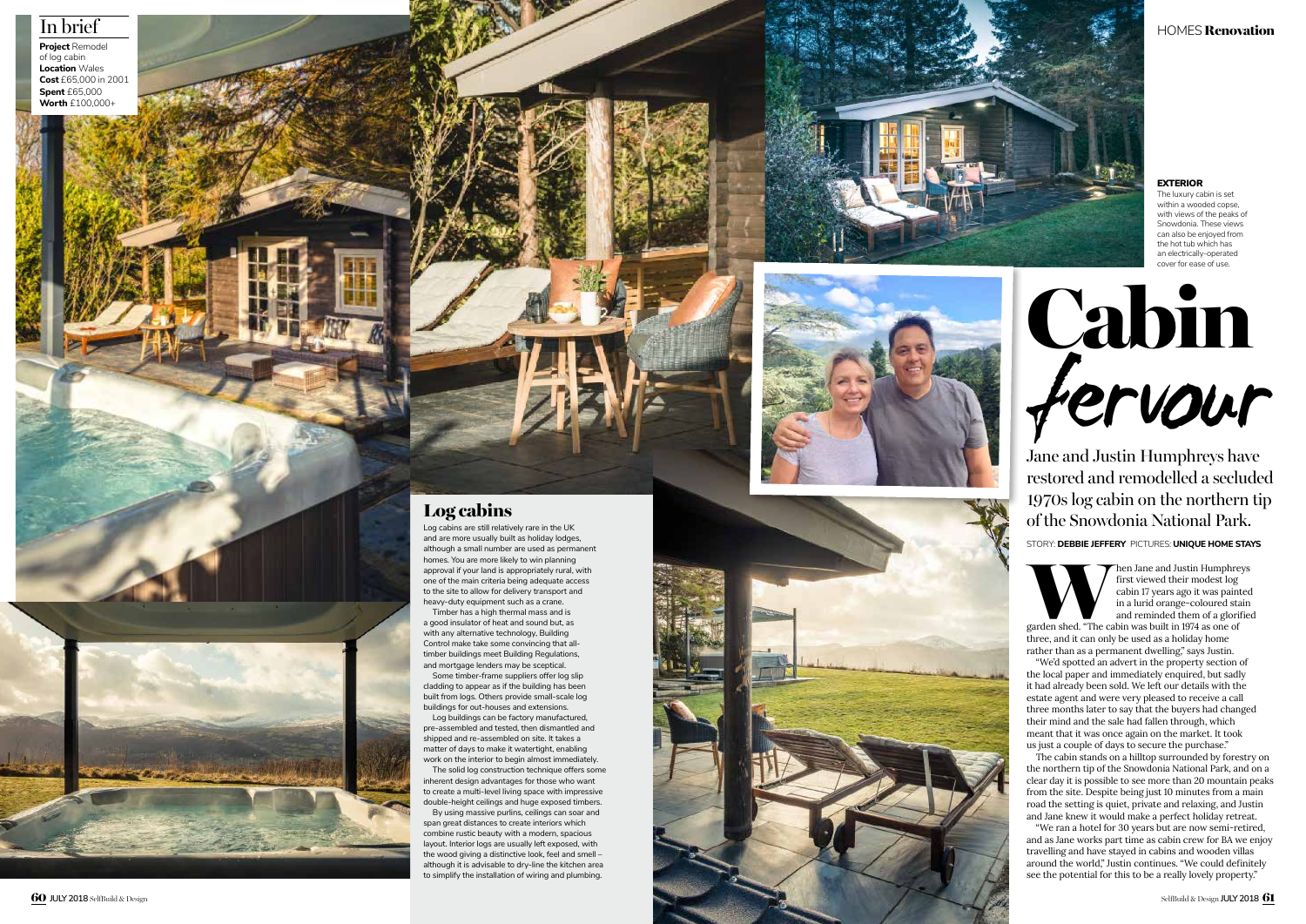HOMES Renovation



Jane and Justin Humphreys have restored and remodelled a secluded 1970s log cabin on the northern tip of the Snowdonia National Park.

Then Jane and Justin Humphreys<br>
first viewed their modest log<br>
cabin 17 years ago it was painted<br>
in a lurid orange-coloured stain<br>
and reminded them of a glorified<br>
garden shed. "The cabin was built in 1974 as one of first viewed their modest log cabin 17 years ago it was painted in a lurid orange-coloured stain and reminded them of a glorified

STORY: **DEBBIE JEFFERY** PICTURES: **UNIQUE HOME STAYS**



three, and it can only be used as a holiday home rather than as a permanent dwelling," says Justin.

"We'd spotted an advert in the property section of the local paper and immediately enquired, but sadly it had already been sold. We left our details with the estate agent and were very pleased to receive a call three months later to say that the buyers had changed their mind and the sale had fallen through, which meant that it was once again on the market. It took us just a couple of days to secure the purchase."

The cabin stands on a hilltop surrounded by forestry on the northern tip of the Snowdonia National Park, and on a clear day it is possible to see more than 20 mountain peaks from the site. Despite being just 10 minutes from a main road the setting is quiet, private and relaxing, and Justin and Jane knew it would make a perfect holiday retreat.

"We ran a hotel for 30 years but are now semi-retired, and as Jane works part time as cabin crew for BA we enjoy travelling and have stayed in cabins and wooden villas around the world," Justin continues. "We could definitely see the potential for this to be a really lovely property."

### EXTERIOR

The luxury cabin is set within a wooded copse with views of the peaks of Snowdonia. These views can also be enjoyed from the hot tub which has an electrically-operated cover for ease of use.

## Log cabins

Log cabins are still relatively rare in the UK and are more usually built as holiday lodges, although a small number are used as permanent homes. You are more likely to win planning approval if your land is appropriately rural, with one of the main criteria being adequate access to the site to allow for delivery transport and heavy-duty equipment such as a crane.

Timber has a high thermal mass and is a good insulator of heat and sound but, as with any alternative technology, Building Control make take some convincing that alltimber buildings meet Building Regulations, and mortgage lenders may be sceptical.

Some timber-frame suppliers offer log slip cladding to appear as if the building has been built from logs. Others provide small-scale log buildings for out-houses and extensions.

Log buildings can be factory manufactured, pre-assembled and tested, then dismantled and shipped and re-assembled on site. It takes a matter of days to make it watertight, enabling work on the interior to begin almost immediately.

The solid log construction technique offers some inherent design advantages for those who want to create a multi-level living space with impressive double-height ceilings and huge exposed timbers.

By using massive purlins, ceilings can soar and span great distances to create interiors which combine rustic beauty with a modern, spacious layout. Interior logs are usually left exposed, with the wood giving a distinctive look, feel and smell – although it is advisable to dry-line the kitchen area to simplify the installation of wiring and plumbing.





## In brief

**Project** Remodel of log cabin **Location** Wales **Cost** £65,000 in 2001 **Spent** £65,000 **Worth** £100,000+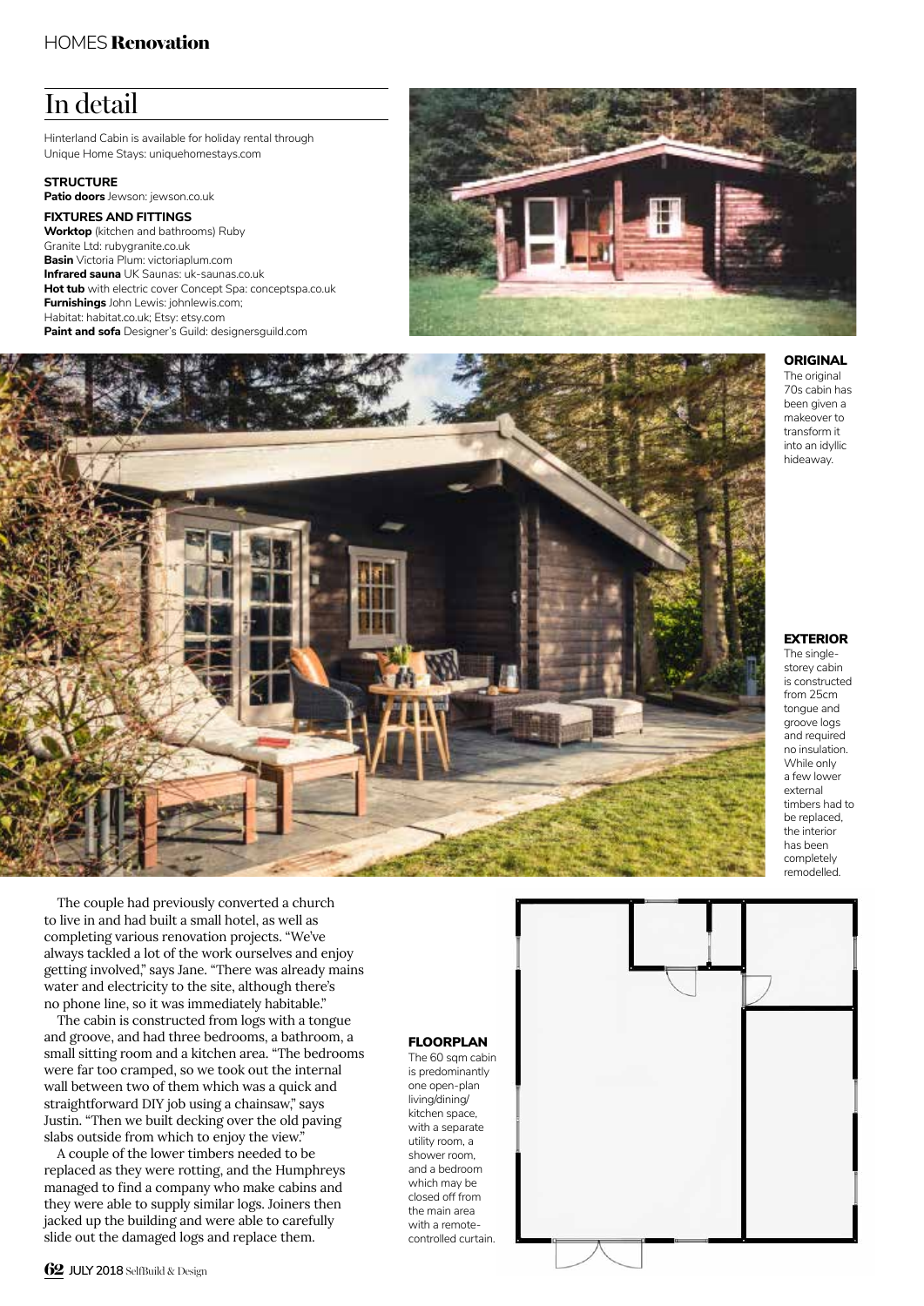## HOMES Renovation

# In detail

Hinterland Cabin is available for holiday rental through Unique Home Stays: uniquehomestays.com

**STRUCTURE Patio doors** Jewson: jewson.co.uk **FIXTURES AND FITTINGS**

**Worktop** (kitchen and bathrooms) Ruby Granite Ltd: rubygranite.co.uk **Basin** Victoria Plum: victoriaplum.com **Infrared sauna** UK Saunas: uk-saunas.co.uk **Hot tub** with electric cover Concept Spa: conceptspa.co.uk **Furnishings** John Lewis: johnlewis.com; Habitat: habitat.co.uk; Etsy: etsy.com **Paint and sofa** Designer's Guild: designersguild.com





**ORIGINAL** 

The original 70s cabin has been given a makeover to transform it into an idyllic hideaway.

### EXTERIOR

The singlestorey cabin is constructed from 25cm tongue and groove logs and required no insulation. While only a few lower external timbers had to be replaced, the interior has been completely remodelled.

The couple had previously converted a church to live in and had built a small hotel, as well as completing various renovation projects. "We've always tackled a lot of the work ourselves and enjoy getting involved," says Jane. "There was already mains water and electricity to the site, although there's no phone line, so it was immediately habitable."

The cabin is constructed from logs with a tongue and groove, and had three bedrooms, a bathroom, a small sitting room and a kitchen area. "The bedrooms were far too cramped, so we took out the internal wall between two of them which was a quick and straightforward DIY job using a chainsaw," says Justin. "Then we built decking over the old paving slabs outside from which to enjoy the view."

A couple of the lower timbers needed to be replaced as they were rotting, and the Humphreys managed to find a company who make cabins and they were able to supply similar logs. Joiners then jacked up the building and were able to carefully slide out the damaged logs and replace them.

### FLOORPLAN

The 60 sqm cabin is predominantly one open-plan living/dining/ kitchen space, with a separate utility room, a shower room, and a bedroom which may be closed off from the main area with a remotecontrolled curtain.

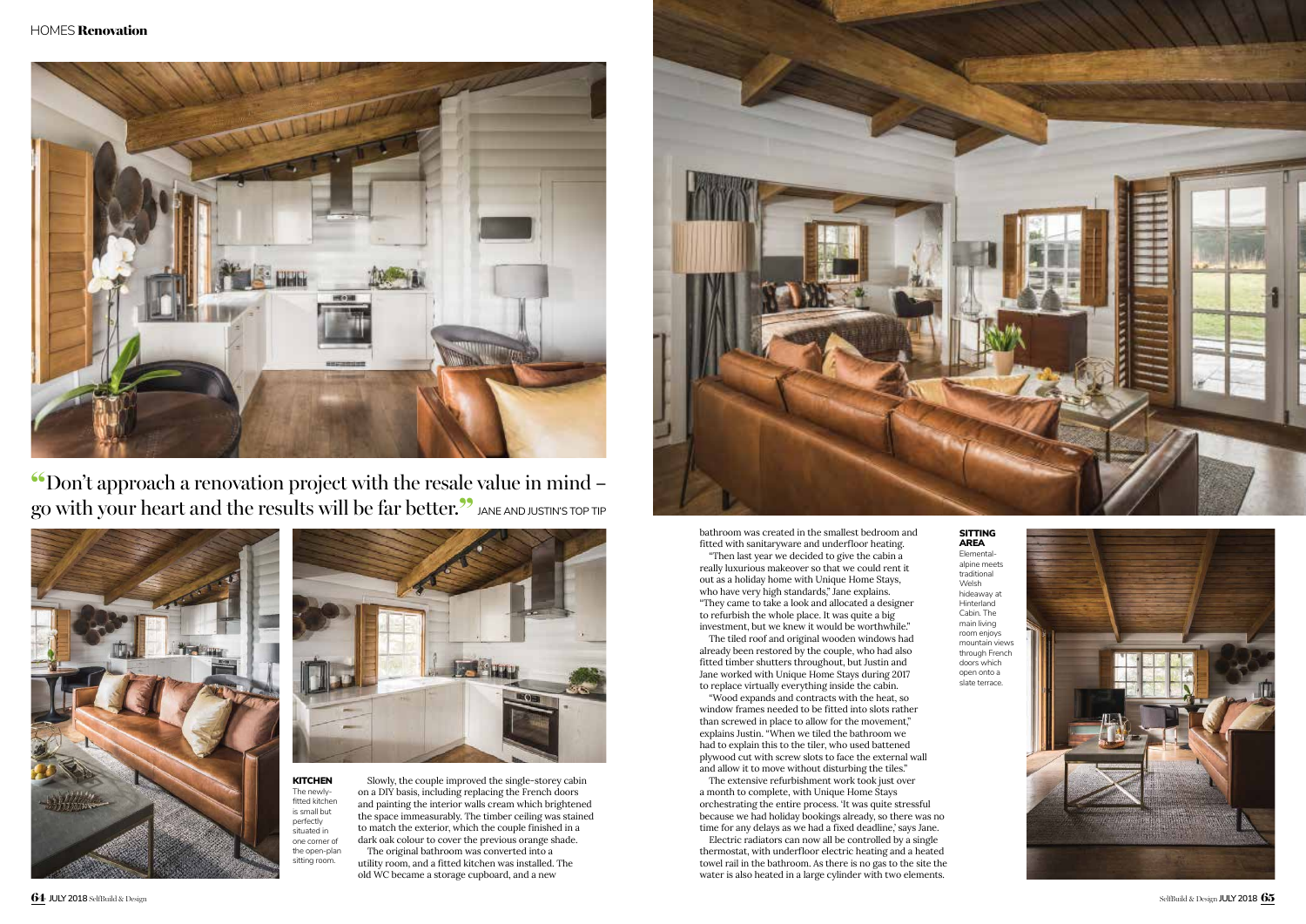

**KITCHEN** The newlyfitted kitchen is small but perfectly situated in one corner of the open-plan sitting room.

## SITTING



# AREA

Elementalalpine meets traditional Welsh hideaway at **Hinterland** Cabin. The main living room enjoys mountain views through French doors which open onto a slate terrace.



"Don't approach a renovation project with the resale value in mind – go with your heart and the results will be far better.<sup>22</sup> JANE AND JUSTIN'S TOP TIP





Slowly, the couple improved the single-storey cabin on a DIY basis, including replacing the French doors and painting the interior walls cream which brightened the space immeasurably. The timber ceiling was stained to match the exterior, which the couple finished in a dark oak colour to cover the previous orange shade. The original bathroom was converted into a

utility room, and a fitted kitchen was installed. The old WC became a storage cupboard, and a new

bathroom was created in the smallest bedroom and fitted with sanitaryware and underfloor heating.

"Then last year we decided to give the cabin a really luxurious makeover so that we could rent it out as a holiday home with Unique Home Stays, who have very high standards," Jane explains. "They came to take a look and allocated a designer to refurbish the whole place. It was quite a big investment, but we knew it would be worthwhile."

The tiled roof and original wooden windows had already been restored by the couple, who had also fitted timber shutters throughout, but Justin and Jane worked with Unique Home Stays during 2017 to replace virtually everything inside the cabin.

"Wood expands and contracts with the heat, so window frames needed to be fitted into slots rather than screwed in place to allow for the movement," explains Justin. "When we tiled the bathroom we had to explain this to the tiler, who used battened plywood cut with screw slots to face the external wall and allow it to move without disturbing the tiles."

The extensive refurbishment work took just over a month to complete, with Unique Home Stays orchestrating the entire process. 'It was quite stressful because we had holiday bookings already, so there was no time for any delays as we had a fixed deadline,' says Jane.

Electric radiators can now all be controlled by a single thermostat, with underfloor electric heating and a heated towel rail in the bathroom. As there is no gas to the site the water is also heated in a large cylinder with two elements.